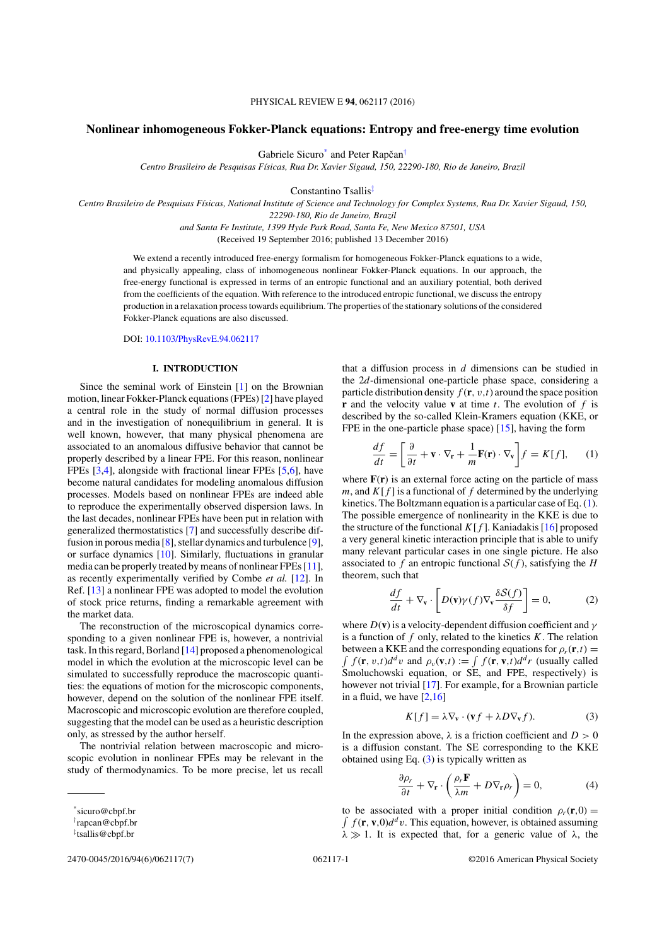## PHYSICAL REVIEW E **94**, 062117 (2016)

# **Nonlinear inhomogeneous Fokker-Planck equations: Entropy and free-energy time evolution**

Gabriele Sicuro<sup>\*</sup> and Peter Rapčan<sup>†</sup>

*Centro Brasileiro de Pesquisas F´ısicas, Rua Dr. Xavier Sigaud, 150, 22290-180, Rio de Janeiro, Brazil*

Constantino Tsallis*‡*

*Centro Brasileiro de Pesquisas F´ısicas, National Institute of Science and Technology for Complex Systems, Rua Dr. Xavier Sigaud, 150, 22290-180, Rio de Janeiro, Brazil*

*and Santa Fe Institute, 1399 Hyde Park Road, Santa Fe, New Mexico 87501, USA*

(Received 19 September 2016; published 13 December 2016)

We extend a recently introduced free-energy formalism for homogeneous Fokker-Planck equations to a wide, and physically appealing, class of inhomogeneous nonlinear Fokker-Planck equations. In our approach, the free-energy functional is expressed in terms of an entropic functional and an auxiliary potential, both derived from the coefficients of the equation. With reference to the introduced entropic functional, we discuss the entropy production in a relaxation process towards equilibrium. The properties of the stationary solutions of the considered Fokker-Planck equations are also discussed.

DOI: [10.1103/PhysRevE.94.062117](https://doi.org/10.1103/PhysRevE.94.062117)

## **I. INTRODUCTION**

Since the seminal work of Einstein [1] on the Brownian motion, linear Fokker-Planck equations (FPEs) [2] have played a central role in the study of normal diffusion processes and in the investigation of nonequilibrium in general. It is well known, however, that many physical phenomena are associated to an anomalous diffusive behavior that cannot be properly described by a linear FPE. For this reason, nonlinear FPEs [3,4], alongside with fractional linear FPEs [5,6], have become natural candidates for modeling anomalous diffusion processes. Models based on nonlinear FPEs are indeed able to reproduce the experimentally observed dispersion laws. In the last decades, nonlinear FPEs have been put in relation with generalized thermostatistics [7] and successfully describe diffusion in porous media [8], stellar dynamics and turbulence [9], or surface dynamics [10]. Similarly, fluctuations in granular media can be properly treated by means of nonlinear FPEs [11], as recently experimentally verified by Combe *et al.* [12]. In Ref. [13] a nonlinear FPE was adopted to model the evolution of stock price returns, finding a remarkable agreement with the market data.

The reconstruction of the microscopical dynamics corresponding to a given nonlinear FPE is, however, a nontrivial task. In this regard, Borland [14] proposed a phenomenological model in which the evolution at the microscopic level can be simulated to successfully reproduce the macroscopic quantities: the equations of motion for the microscopic components, however, depend on the solution of the nonlinear FPE itself. Macroscopic and microscopic evolution are therefore coupled, suggesting that the model can be used as a heuristic description only, as stressed by the author herself.

The nontrivial relation between macroscopic and microscopic evolution in nonlinear FPEs may be relevant in the study of thermodynamics. To be more precise, let us recall

2470-0045/2016/94(6)/062117(7) 062117-1 ©2016 American Physical Society

that a diffusion process in *d* dimensions can be studied in the 2*d*-dimensional one-particle phase space, considering a particle distribution density  $f(\mathbf{r}, v, t)$  around the space position **r** and the velocity value **v** at time *t*. The evolution of *f* is described by the so-called Klein-Kramers equation (KKE, or FPE in the one-particle phase space) [15], having the form

$$
\frac{df}{dt} = \left[\frac{\partial}{\partial t} + \mathbf{v} \cdot \nabla_{\mathbf{r}} + \frac{1}{m} \mathbf{F}(\mathbf{r}) \cdot \nabla_{\mathbf{v}}\right] f = K[f],\qquad(1)
$$

where  $F(r)$  is an external force acting on the particle of mass *m*, and  $K[f]$  is a functional of f determined by the underlying kinetics. The Boltzmann equation is a particular case of Eq. (1). The possible emergence of nonlinearity in the KKE is due to the structure of the functional  $K[f]$ . Kaniadakis [16] proposed a very general kinetic interaction principle that is able to unify many relevant particular cases in one single picture. He also associated to  $f$  an entropic functional  $S(f)$ , satisfying the *H* theorem, such that

$$
\frac{df}{dt} + \nabla_{\mathbf{v}} \cdot \left[ D(\mathbf{v}) \gamma(f) \nabla_{\mathbf{v}} \frac{\delta S(f)}{\delta f} \right] = 0, \tag{2}
$$

where  $D(\mathbf{v})$  is a velocity-dependent diffusion coefficient and  $\gamma$ is a function of *f* only, related to the kinetics *K*. The relation  $\int f(\mathbf{r}, v, t) d^d v$  and  $\rho_v(\mathbf{v}, t) := \int f(\mathbf{r}, \mathbf{v}, t) d^d r$  (usually called between a KKE and the corresponding equations for  $\rho_r(\mathbf{r},t) =$ Smoluchowski equation, or SE, and FPE, respectively) is however not trivial [17]. For example, for a Brownian particle in a fluid, we have  $[2,16]$ 

$$
K[f] = \lambda \nabla_{\mathbf{v}} \cdot (\mathbf{v}f + \lambda D \nabla_{\mathbf{v}}f). \tag{3}
$$

In the expression above,  $\lambda$  is a friction coefficient and  $D > 0$ is a diffusion constant. The SE corresponding to the KKE obtained using Eq. (3) is typically written as

$$
\frac{\partial \rho_r}{\partial t} + \nabla_{\mathbf{r}} \cdot \left( \frac{\rho_r \mathbf{F}}{\lambda m} + D \nabla_{\mathbf{r}} \rho_r \right) = 0, \tag{4}
$$

 $\int f(\mathbf{r}, \mathbf{v},0)d^d v$ . This equation, however, is obtained assuming to be associated with a proper initial condition  $\rho_r(\mathbf{r},0) =$  $\lambda \gg 1$ . It is expected that, for a generic value of  $\lambda$ , the

<sup>\*</sup>sicuro@cbpf.br

*<sup>†</sup>* rapcan@cbpf.br

*<sup>‡</sup>* tsallis@cbpf.br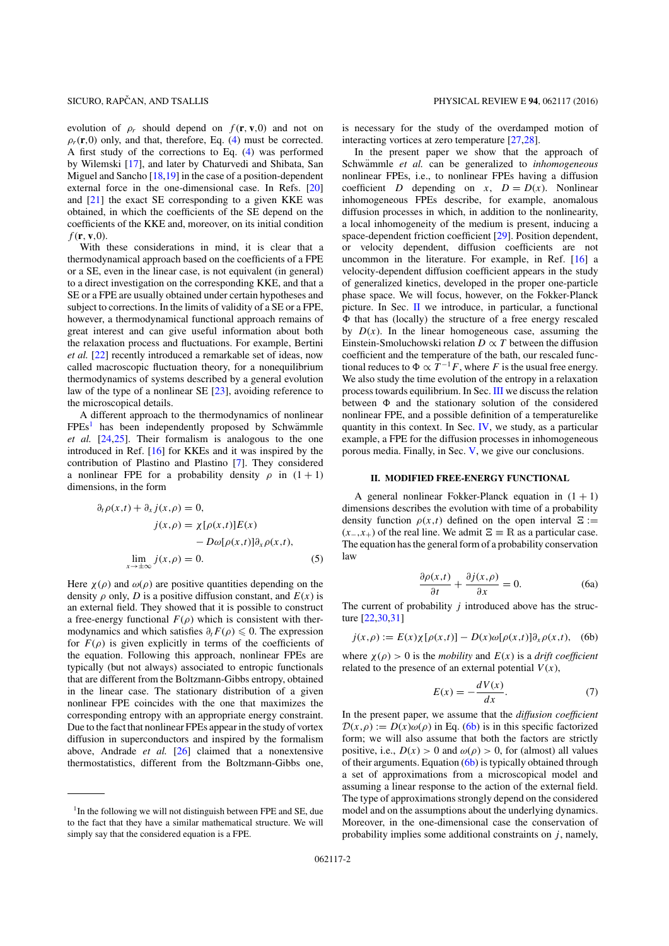evolution of  $\rho_r$  should depend on  $f(\mathbf{r}, \mathbf{v}, 0)$  and not on  $\rho_r(\mathbf{r},0)$  only, and that, therefore, Eq. (4) must be corrected. A first study of the corrections to Eq. (4) was performed by Wilemski [17], and later by Chaturvedi and Shibata, San Miguel and Sancho [18,19] in the case of a position-dependent external force in the one-dimensional case. In Refs. [20] and [21] the exact SE corresponding to a given KKE was obtained, in which the coefficients of the SE depend on the coefficients of the KKE and, moreover, on its initial condition *f* (**r***,* **v***,*0).

With these considerations in mind, it is clear that a thermodynamical approach based on the coefficients of a FPE or a SE, even in the linear case, is not equivalent (in general) to a direct investigation on the corresponding KKE, and that a SE or a FPE are usually obtained under certain hypotheses and subject to corrections. In the limits of validity of a SE or a FPE, however, a thermodynamical functional approach remains of great interest and can give useful information about both the relaxation process and fluctuations. For example, Bertini *et al.* [22] recently introduced a remarkable set of ideas, now called macroscopic fluctuation theory, for a nonequilibrium thermodynamics of systems described by a general evolution law of the type of a nonlinear SE [23], avoiding reference to the microscopical details.

A different approach to the thermodynamics of nonlinear  $FPEs<sup>1</sup>$  has been independently proposed by Schwämmle *et al.* [24,25]. Their formalism is analogous to the one introduced in Ref. [16] for KKEs and it was inspired by the contribution of Plastino and Plastino [7]. They considered a nonlinear FPE for a probability density  $\rho$  in  $(1 + 1)$ dimensions, in the form

$$
\partial_t \rho(x,t) + \partial_x j(x,\rho) = 0,
$$
  
\n
$$
j(x,\rho) = \chi[\rho(x,t)]E(x)
$$
  
\n
$$
-D\omega[\rho(x,t)]\partial_x \rho(x,t),
$$
  
\n
$$
\lim_{x \to \pm \infty} j(x,\rho) = 0.
$$
\n(5)

Here  $\chi(\rho)$  and  $\omega(\rho)$  are positive quantities depending on the density  $\rho$  only, *D* is a positive diffusion constant, and  $E(x)$  is an external field. They showed that it is possible to construct a free-energy functional  $F(\rho)$  which is consistent with thermodynamics and which satisfies  $\partial_t F(\rho) \leq 0$ . The expression for  $F(\rho)$  is given explicitly in terms of the coefficients of the equation. Following this approach, nonlinear FPEs are typically (but not always) associated to entropic functionals that are different from the Boltzmann-Gibbs entropy, obtained in the linear case. The stationary distribution of a given nonlinear FPE coincides with the one that maximizes the corresponding entropy with an appropriate energy constraint. Due to the fact that nonlinear FPEs appear in the study of vortex diffusion in superconductors and inspired by the formalism above, Andrade *et al.* [26] claimed that a nonextensive thermostatistics, different from the Boltzmann-Gibbs one,

is necessary for the study of the overdamped motion of interacting vortices at zero temperature [27,28].

In the present paper we show that the approach of Schwämmle et al. can be generalized to *inhomogeneous* nonlinear FPEs, i.e., to nonlinear FPEs having a diffusion coefficient *D* depending on *x*,  $D = D(x)$ . Nonlinear inhomogeneous FPEs describe, for example, anomalous diffusion processes in which, in addition to the nonlinearity, a local inhomogeneity of the medium is present, inducing a space-dependent friction coefficient [29]. Position dependent, or velocity dependent, diffusion coefficients are not uncommon in the literature. For example, in Ref. [16] a velocity-dependent diffusion coefficient appears in the study of generalized kinetics, developed in the proper one-particle phase space. We will focus, however, on the Fokker-Planck picture. In Sec. II we introduce, in particular, a functional  $\Phi$  that has (locally) the structure of a free energy rescaled by  $D(x)$ . In the linear homogeneous case, assuming the Einstein-Smoluchowski relation  $D \propto T$  between the diffusion coefficient and the temperature of the bath, our rescaled functional reduces to  $\Phi \propto T^{-1}F$ , where *F* is the usual free energy. We also study the time evolution of the entropy in a relaxation process towards equilibrium. In Sec. III we discuss the relation between  $\Phi$  and the stationary solution of the considered nonlinear FPE, and a possible definition of a temperaturelike quantity in this context. In Sec. IV, we study, as a particular example, a FPE for the diffusion processes in inhomogeneous porous media. Finally, in Sec. V, we give our conclusions.

### **II. MODIFIED FREE-ENERGY FUNCTIONAL**

A general nonlinear Fokker-Planck equation in  $(1 + 1)$ dimensions describes the evolution with time of a probability density function  $\rho(x,t)$  defined on the open interval  $\Xi$  :=  $(x_-,x_+)$  of the real line. We admit  $\Xi \equiv \mathbb{R}$  as a particular case. The equation has the general form of a probability conservation law

$$
\frac{\partial \rho(x,t)}{\partial t} + \frac{\partial j(x,\rho)}{\partial x} = 0.
$$
 (6a)

The current of probability *j* introduced above has the structure [22,30,31]

$$
j(x,\rho) := E(x)\chi[\rho(x,t)] - D(x)\omega[\rho(x,t)]\partial_x\rho(x,t), \quad (6b)
$$

where  $\chi(\rho) > 0$  is the *mobility* and  $E(x)$  is a *drift coefficient* related to the presence of an external potential  $V(x)$ ,

$$
E(x) = -\frac{dV(x)}{dx}.\tag{7}
$$

In the present paper, we assume that the *diffusion coefficient*  $D(x, \rho) := D(x)\omega(\rho)$  in Eq. (6b) is in this specific factorized form; we will also assume that both the factors are strictly positive, i.e.,  $D(x) > 0$  and  $\omega(\rho) > 0$ , for (almost) all values of their arguments. Equation (6b) is typically obtained through a set of approximations from a microscopical model and assuming a linear response to the action of the external field. The type of approximations strongly depend on the considered model and on the assumptions about the underlying dynamics. Moreover, in the one-dimensional case the conservation of probability implies some additional constraints on  $j$ , namely,

<sup>&</sup>lt;sup>1</sup>In the following we will not distinguish between FPE and SE, due to the fact that they have a similar mathematical structure. We will simply say that the considered equation is a FPE.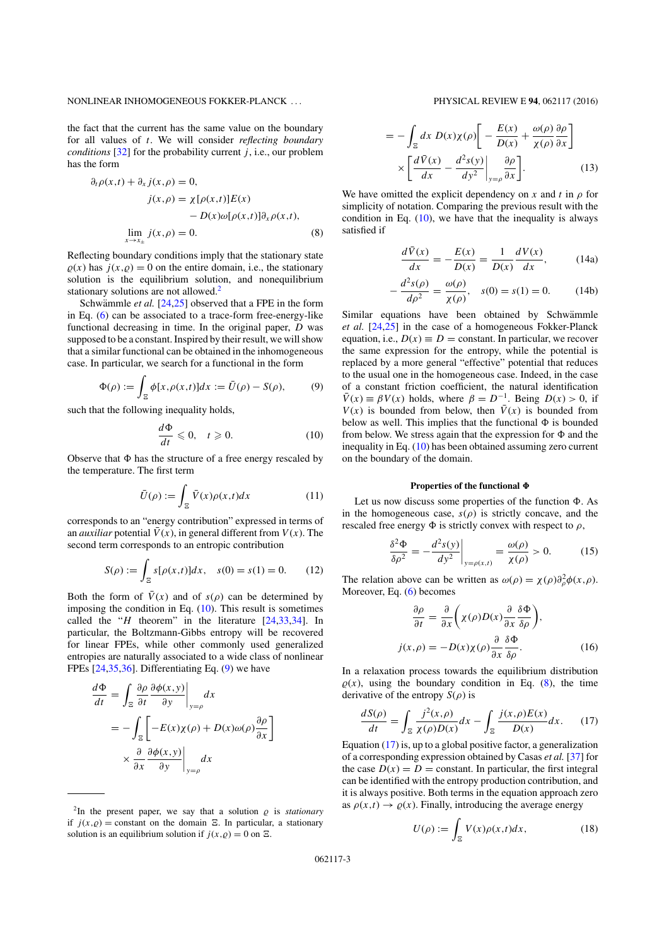### NONLINEAR INHOMOGENEOUS FOKKER-PLANCK . . . PHYSICAL REVIEW E **94**, 062117 (2016)

the fact that the current has the same value on the boundary for all values of *t*. We will consider *reflecting boundary conditions*  $[32]$  for the probability current *j*, i.e., our problem has the form

$$
\partial_t \rho(x,t) + \partial_x j(x,\rho) = 0,
$$
  
\n
$$
j(x,\rho) = \chi[\rho(x,t)]E(x)
$$
  
\n
$$
- D(x)\omega[\rho(x,t)]\partial_x \rho(x,t),
$$
  
\n
$$
\lim_{x \to x_{\pm}} j(x,\rho) = 0.
$$
 (8)

Reflecting boundary conditions imply that the stationary state  $\rho(x)$  has  $j(x, \rho) = 0$  on the entire domain, i.e., the stationary solution is the equilibrium solution, and nonequilibrium stationary solutions are not allowed.<sup>2</sup>

Schwämmle *et al.* [24,25] observed that a FPE in the form in Eq. (6) can be associated to a trace-form free-energy-like functional decreasing in time. In the original paper, *D* was supposed to be a constant. Inspired by their result, we will show that a similar functional can be obtained in the inhomogeneous case. In particular, we search for a functional in the form

$$
\Phi(\rho) := \int_{\Xi} \phi[x, \rho(x, t)] dx := \bar{U}(\rho) - S(\rho), \tag{9}
$$

such that the following inequality holds,

$$
\frac{d\Phi}{dt} \leqslant 0, \quad t \geqslant 0. \tag{10}
$$

Observe that  $\Phi$  has the structure of a free energy rescaled by the temperature. The first term

$$
\bar{U}(\rho) := \int_{\Xi} \bar{V}(x)\rho(x,t)dx \tag{11}
$$

corresponds to an "energy contribution" expressed in terms of an *auxiliar* potential  $\bar{V}(x)$ , in general different from  $V(x)$ . The second term corresponds to an entropic contribution

$$
S(\rho) := \int_{\Xi} s[\rho(x,t)]dx, \quad s(0) = s(1) = 0. \tag{12}
$$

Both the form of  $\bar{V}(x)$  and of  $s(\rho)$  can be determined by imposing the condition in Eq.  $(10)$ . This result is sometimes called the "*H* theorem" in the literature [24,33,34]. In particular, the Boltzmann-Gibbs entropy will be recovered for linear FPEs, while other commonly used generalized entropies are naturally associated to a wide class of nonlinear FPEs [24,35,36]. Differentiating Eq. (9) we have

$$
\frac{d\Phi}{dt} = \int_{\Xi} \frac{\partial \rho}{\partial t} \frac{\partial \phi(x, y)}{\partial y} \Big|_{y = \rho} dx
$$

$$
= -\int_{\Xi} \left[ -E(x)\chi(\rho) + D(x)\omega(\rho) \frac{\partial \rho}{\partial x} \right]
$$

$$
\times \frac{\partial}{\partial x} \frac{\partial \phi(x, y)}{\partial y} \Big|_{y = \rho} dx
$$

$$
= -\int_{\Xi} dx \ D(x)\chi(\rho)\left[ -\frac{E(x)}{D(x)} + \frac{\omega(\rho)}{\chi(\rho)}\frac{\partial \rho}{\partial x} \right] \times \left[ \frac{d\bar{V}(x)}{dx} - \frac{d^2s(y)}{dy^2} \Big|_{y=\rho} \frac{\partial \rho}{\partial x} \right].
$$
 (13)

We have omitted the explicit dependency on  $x$  and  $t$  in  $\rho$  for simplicity of notation. Comparing the previous result with the condition in Eq.  $(10)$ , we have that the inequality is always satisfied if

$$
\frac{d\bar{V}(x)}{dx} = -\frac{E(x)}{D(x)} = \frac{1}{D(x)}\frac{dV(x)}{dx},\qquad(14a)
$$

$$
-\frac{d^2s(\rho)}{d\rho^2} = \frac{\omega(\rho)}{\chi(\rho)}, \quad s(0) = s(1) = 0.
$$
 (14b)

Similar equations have been obtained by Schwämmle *et al.* [24,25] in the case of a homogeneous Fokker-Planck equation, i.e.,  $D(x) \equiv D =$  constant. In particular, we recover the same expression for the entropy, while the potential is replaced by a more general "effective" potential that reduces to the usual one in the homogeneous case. Indeed, in the case of a constant friction coefficient, the natural identification  $\overline{V}(x) \equiv \beta V(x)$  holds, where  $\beta = D^{-1}$ . Being  $D(x) > 0$ , if  $V(x)$  is bounded from below, then  $\bar{V}(x)$  is bounded from below as well. This implies that the functional  $\Phi$  is bounded from below. We stress again that the expression for  $\Phi$  and the inequality in Eq. (10) has been obtained assuming zero current on the boundary of the domain.

# Properties of the functional  $\Phi$

Let us now discuss some properties of the function  $\Phi$ . As in the homogeneous case,  $s(\rho)$  is strictly concave, and the rescaled free energy  $\Phi$  is strictly convex with respect to  $\rho$ ,

$$
\frac{\delta^2 \Phi}{\delta \rho^2} = -\frac{d^2 s(y)}{dy^2}\bigg|_{y=\rho(x,t)} = \frac{\omega(\rho)}{\chi(\rho)} > 0. \tag{15}
$$

The relation above can be written as  $\omega(\rho) = \chi(\rho)\partial_{\rho}^{2}\phi(x,\rho)$ . Moreover, Eq. (6) becomes

$$
\frac{\partial \rho}{\partial t} = \frac{\partial}{\partial x} \left( \chi(\rho) D(x) \frac{\partial}{\partial x} \frac{\delta \Phi}{\delta \rho} \right),
$$
  

$$
j(x, \rho) = -D(x) \chi(\rho) \frac{\partial}{\partial x} \frac{\delta \Phi}{\delta \rho}.
$$
 (16)

In a relaxation process towards the equilibrium distribution  $\rho(x)$ , using the boundary condition in Eq. (8), the time derivative of the entropy  $S(\rho)$  is

$$
\frac{dS(\rho)}{dt} = \int_{\Xi} \frac{j^2(x,\rho)}{\chi(\rho)D(x)} dx - \int_{\Xi} \frac{j(x,\rho)E(x)}{D(x)} dx. \tag{17}
$$

Equation (17) is, up to a global positive factor, a generalization of a corresponding expression obtained by Casas *et al.* [37] for the case  $D(x) = D$  = constant. In particular, the first integral can be identified with the entropy production contribution, and it is always positive. Both terms in the equation approach zero as  $\rho(x,t) \rightarrow \rho(x)$ . Finally, introducing the average energy

$$
U(\rho) := \int_{\Xi} V(x)\rho(x,t)dx,\tag{18}
$$

<sup>&</sup>lt;sup>2</sup>In the present paper, we say that a solution  $\rho$  is *stationary* if  $j(x, \rho)$  = constant on the domain  $\Xi$ . In particular, a stationary solution is an equilibrium solution if  $j(x, \rho) = 0$  on  $\Xi$ .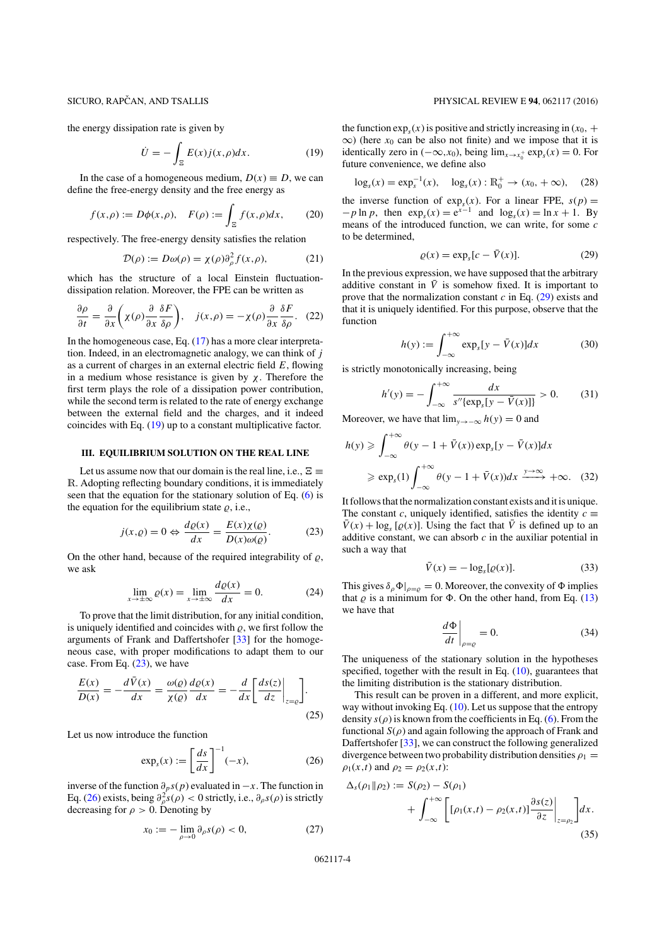the energy dissipation rate is given by

$$
\dot{U} = -\int_{\Xi} E(x) j(x,\rho) dx.
$$
 (19)

In the case of a homogeneous medium,  $D(x) \equiv D$ , we can define the free-energy density and the free energy as

$$
f(x,\rho) := D\phi(x,\rho), \quad F(\rho) := \int_{\Xi} f(x,\rho)dx, \qquad (20)
$$

respectively. The free-energy density satisfies the relation

$$
\mathcal{D}(\rho) := D\omega(\rho) = \chi(\rho)\partial_{\rho}^{2} f(x,\rho),\tag{21}
$$

which has the structure of a local Einstein fluctuationdissipation relation. Moreover, the FPE can be written as

$$
\frac{\partial \rho}{\partial t} = \frac{\partial}{\partial x} \left( \chi(\rho) \frac{\partial}{\partial x} \frac{\delta F}{\delta \rho} \right), \quad j(x, \rho) = -\chi(\rho) \frac{\partial}{\partial x} \frac{\delta F}{\delta \rho}.
$$
 (22)

In the homogeneous case, Eq. (17) has a more clear interpretation. Indeed, in an electromagnetic analogy, we can think of *j* as a current of charges in an external electric field *E*, flowing in a medium whose resistance is given by  $\chi$ . Therefore the first term plays the role of a dissipation power contribution, while the second term is related to the rate of energy exchange between the external field and the charges, and it indeed coincides with Eq. (19) up to a constant multiplicative factor.

#### **III. EQUILIBRIUM SOLUTION ON THE REAL LINE**

Let us assume now that our domain is the real line, i.e.,  $\Xi \equiv$ R. Adopting reflecting boundary conditions, it is immediately seen that the equation for the stationary solution of Eq. (6) is the equation for the equilibrium state  $\rho$ , i.e.,

$$
j(x, \varrho) = 0 \Leftrightarrow \frac{d\varrho(x)}{dx} = \frac{E(x)\chi(\varrho)}{D(x)\omega(\varrho)}.\tag{23}
$$

On the other hand, because of the required integrability of  $\rho$ , we ask

$$
\lim_{x \to \pm \infty} \varrho(x) = \lim_{x \to \pm \infty} \frac{d\varrho(x)}{dx} = 0.
$$
 (24)

To prove that the limit distribution, for any initial condition, is uniquely identified and coincides with  $\rho$ , we first follow the arguments of Frank and Daffertshofer [33] for the homogeneous case, with proper modifications to adapt them to our case. From Eq. (23), we have

$$
\frac{E(x)}{D(x)} = -\frac{d\bar{V}(x)}{dx} = \frac{\omega(\varrho)}{\chi(\varrho)} \frac{d\varrho(x)}{dx} = -\frac{d}{dx} \left[ \frac{ds(z)}{dz} \Big|_{z=\varrho} \right].
$$
\n(25)

Let us now introduce the function

$$
\exp_s(x) := \left[\frac{ds}{dx}\right]^{-1}(-x),\tag{26}
$$

inverse of the function ∂*ps*(*p*) evaluated in −*x*. The function in Eq. (26) exists, being  $\partial_{\rho}^{2}s(\rho) < 0$  strictly, i.e.,  $\partial_{\rho}s(\rho)$  is strictly decreasing for  $\rho > 0$ . Denoting by

$$
x_0 := -\lim_{\rho \to 0} \partial_{\rho} s(\rho) < 0,\tag{27}
$$

# SICURO, RAPČAN, AND TSALLIS PHYSICAL REVIEW E 94, 062117 (2016)

the function  $\exp_s(x)$  is positive and strictly increasing in  $(x_0, +$  $\infty$ ) (here  $x_0$  can be also not finite) and we impose that it is identically zero in  $(-\infty, x_0)$ , being  $\lim_{x \to x_0^+} \exp_s(x) = 0$ . For future convenience, we define also

$$
\log_s(x) = \exp_s^{-1}(x), \quad \log_s(x) : \mathbb{R}_0^+ \to (x_0, +\infty), \quad (28)
$$

the inverse function of  $exp<sub>s</sub>(x)$ . For a linear FPE,  $s(p)$  =  $-p \ln p$ , then  $\exp_s(x) = e^{x-1}$  and  $\log_s(x) = \ln x + 1$ . By means of the introduced function, we can write, for some *c* to be determined,

$$
\varrho(x) = \exp_s[c - \bar{V}(x)].\tag{29}
$$

In the previous expression, we have supposed that the arbitrary additive constant in  $\overline{V}$  is somehow fixed. It is important to prove that the normalization constant *c* in Eq. (29) exists and that it is uniquely identified. For this purpose, observe that the function

$$
h(y) := \int_{-\infty}^{+\infty} \exp_s[y - \bar{V}(x)]dx
$$
 (30)

is strictly monotonically increasing, being

$$
h'(y) = -\int_{-\infty}^{+\infty} \frac{dx}{s'' \{ \exp_s[y - \bar{V}(x)] \}} > 0. \tag{31}
$$

Moreover, we have that  $\lim_{y \to -\infty} h(y) = 0$  and

$$
h(y) \ge \int_{-\infty}^{+\infty} \theta(y - 1 + \bar{V}(x)) \exp_s[y - \bar{V}(x)] dx
$$
  
\n
$$
\ge \exp_s(1) \int_{-\infty}^{+\infty} \theta(y - 1 + \bar{V}(x)) dx \xrightarrow{y \to \infty} +\infty. \quad (32)
$$

It follows that the normalization constant exists and it is unique. The constant *c*, uniquely identified, satisfies the identity  $c \equiv$  $\bar{V}(x) + \log_s [\varrho(x)]$ . Using the fact that  $\bar{V}$  is defined up to an additive constant, we can absorb *c* in the auxiliar potential in such a way that

$$
\bar{V}(x) = -\log_s[\varrho(x)].\tag{33}
$$

This gives  $\delta_{\rho}\Phi|_{\rho=\rho} = 0$ . Moreover, the convexity of  $\Phi$  implies that  $\rho$  is a minimum for  $\Phi$ . On the other hand, from Eq. (13) we have that

$$
\left. \frac{d\Phi}{dt} \right|_{\rho = \varrho} = 0. \tag{34}
$$

The uniqueness of the stationary solution in the hypotheses specified, together with the result in Eq. (10), guarantees that the limiting distribution is the stationary distribution.

This result can be proven in a different, and more explicit, way without invoking Eq.  $(10)$ . Let us suppose that the entropy density  $s(\rho)$  is known from the coefficients in Eq. (6). From the functional  $S(\rho)$  and again following the approach of Frank and Daffertshofer [33], we can construct the following generalized divergence between two probability distribution densities  $\rho_1 =$  $\rho_1(x,t)$  and  $\rho_2 = \rho_2(x,t)$ :

$$
\Delta_s(\rho_1 \| \rho_2) := S(\rho_2) - S(\rho_1) + \int_{-\infty}^{+\infty} \left[ [\rho_1(x,t) - \rho_2(x,t)] \frac{\partial s(z)}{\partial z} \Big|_{z=\rho_2} \right] dx.
$$
\n(35)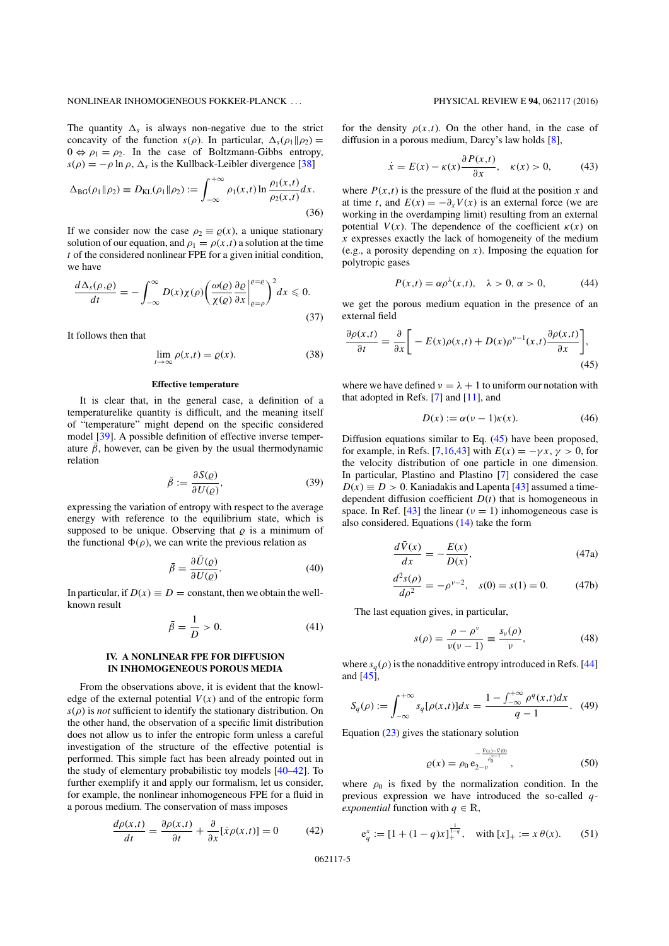## NONLINEAR INHOMOGENEOUS FOKKER-PLANCK . . . PHYSICAL REVIEW E **94**, 062117 (2016)

The quantity  $\Delta_s$  is always non-negative due to the strict concavity of the function  $s(\rho)$ . In particular,  $\Delta_s(\rho_1 || \rho_2)$  =  $0 \Leftrightarrow \rho_1 = \rho_2$ . In the case of Boltzmann-Gibbs entropy,  $s(\rho) = -\rho \ln \rho$ ,  $\Delta_s$  is the Kullback-Leibler divergence [38]

$$
\Delta_{BG}(\rho_1 \| \rho_2) \equiv D_{KL}(\rho_1 \| \rho_2) := \int_{-\infty}^{+\infty} \rho_1(x, t) \ln \frac{\rho_1(x, t)}{\rho_2(x, t)} dx.
$$
\n(36)

If we consider now the case  $\rho_2 \equiv \rho(x)$ , a unique stationary solution of our equation, and  $\rho_1 = \rho(x,t)$  a solution at the time *t* of the considered nonlinear FPE for a given initial condition, we have

$$
\frac{d\Delta_s(\rho,\rho)}{dt} = -\int_{-\infty}^{\infty} D(x)\chi(\rho) \left(\frac{\omega(\rho)}{\chi(\rho)}\frac{\partial \rho}{\partial x}\bigg|_{\rho=\rho}^{\rho=\rho}\right)^2 dx \leq 0.
$$
\n(37)

It follows then that

$$
\lim_{t \to \infty} \rho(x,t) = \varrho(x). \tag{38}
$$

# **Effective temperature**

It is clear that, in the general case, a definition of a temperaturelike quantity is difficult, and the meaning itself of "temperature" might depend on the specific considered model [39]. A possible definition of effective inverse temperature  $\bar{\beta}$ , however, can be given by the usual thermodynamic relation

$$
\bar{\beta} := \frac{\partial S(\varrho)}{\partial U(\varrho)},\tag{39}
$$

expressing the variation of entropy with respect to the average energy with reference to the equilibrium state, which is supposed to be unique. Observing that  $\rho$  is a minimum of the functional  $\Phi(\rho)$ , we can write the previous relation as

$$
\bar{\beta} = \frac{\partial \bar{U}(\varrho)}{\partial U(\varrho)}.
$$
\n(40)

In particular, if  $D(x) \equiv D =$  constant, then we obtain the wellknown result

$$
\bar{\beta} = \frac{1}{D} > 0. \tag{41}
$$

# **IV. A NONLINEAR FPE FOR DIFFUSION IN INHOMOGENEOUS POROUS MEDIA**

From the observations above, it is evident that the knowledge of the external potential  $V(x)$  and of the entropic form  $s(\rho)$  is *not* sufficient to identify the stationary distribution. On the other hand, the observation of a specific limit distribution does not allow us to infer the entropic form unless a careful investigation of the structure of the effective potential is performed. This simple fact has been already pointed out in the study of elementary probabilistic toy models [40–42]. To further exemplify it and apply our formalism, let us consider, for example, the nonlinear inhomogeneous FPE for a fluid in a porous medium. The conservation of mass imposes

$$
\frac{d\rho(x,t)}{dt} = \frac{\partial \rho(x,t)}{\partial t} + \frac{\partial}{\partial x} [\dot{x}\rho(x,t)] = 0 \tag{42}
$$

for the density  $\rho(x,t)$ . On the other hand, in the case of diffusion in a porous medium, Darcy's law holds [8],

$$
\dot{x} = E(x) - \kappa(x) \frac{\partial P(x, t)}{\partial x}, \quad \kappa(x) > 0,
$$
 (43)

where  $P(x,t)$  is the pressure of the fluid at the position *x* and at time *t*, and  $E(x) = -\partial_x V(x)$  is an external force (we are working in the overdamping limit) resulting from an external potential  $V(x)$ . The dependence of the coefficient  $\kappa(x)$  on *x* expresses exactly the lack of homogeneity of the medium (e.g., a porosity depending on *x*). Imposing the equation for polytropic gases

$$
P(x,t) = \alpha \rho^{\lambda}(x,t), \quad \lambda > 0, \alpha > 0,
$$
 (44)

we get the porous medium equation in the presence of an external field

$$
\frac{\partial \rho(x,t)}{\partial t} = \frac{\partial}{\partial x} \bigg[ -E(x)\rho(x,t) + D(x)\rho^{\nu-1}(x,t) \frac{\partial \rho(x,t)}{\partial x} \bigg],\tag{45}
$$

where we have defined  $v = \lambda + 1$  to uniform our notation with that adopted in Refs. [7] and [11], and

$$
D(x) := \alpha(\nu - 1)\kappa(x). \tag{46}
$$

Diffusion equations similar to Eq. (45) have been proposed, for example, in Refs. [7,16,43] with  $E(x) = -\gamma x$ ,  $\gamma > 0$ , for the velocity distribution of one particle in one dimension. In particular, Plastino and Plastino [7] considered the case  $D(x) \equiv D > 0$ . Kaniadakis and Lapenta [43] assumed a timedependent diffusion coefficient  $D(t)$  that is homogeneous in space. In Ref. [43] the linear ( $\nu = 1$ ) inhomogeneous case is also considered. Equations (14) take the form

$$
\frac{d\bar{V}(x)}{dx} = -\frac{E(x)}{D(x)},\tag{47a}
$$

$$
\frac{d^2s(\rho)}{d\rho^2} = -\rho^{\nu-2}, \quad s(0) = s(1) = 0. \tag{47b}
$$

The last equation gives, in particular,

$$
s(\rho) = \frac{\rho - \rho^{\nu}}{\nu(\nu - 1)} \equiv \frac{s_{\nu}(\rho)}{\nu},
$$
\n(48)

where  $s_a(\rho)$  is the nonadditive entropy introduced in Refs. [44] and [45],

$$
S_q(\rho) := \int_{-\infty}^{+\infty} s_q[\rho(x,t)]dx = \frac{1 - \int_{-\infty}^{+\infty} \rho^q(x,t)dx}{q - 1}.
$$
 (49)

Equation (23) gives the stationary solution

$$
\varrho(x) = \rho_0 \, e_{2-v}^{-\frac{\tilde{V}(x) - \tilde{V}(0)}{\rho_0^{v-1}}}, \tag{50}
$$

where  $\rho_0$  is fixed by the normalization condition. In the previous expression we have introduced the so-called *qexponential* function with  $q \in \mathbb{R}$ ,

$$
e_q^x := [1 + (1 - q)x]_+^{\frac{1}{1-q}}, \quad \text{with } [x]_+ := x \theta(x). \tag{51}
$$

062117-5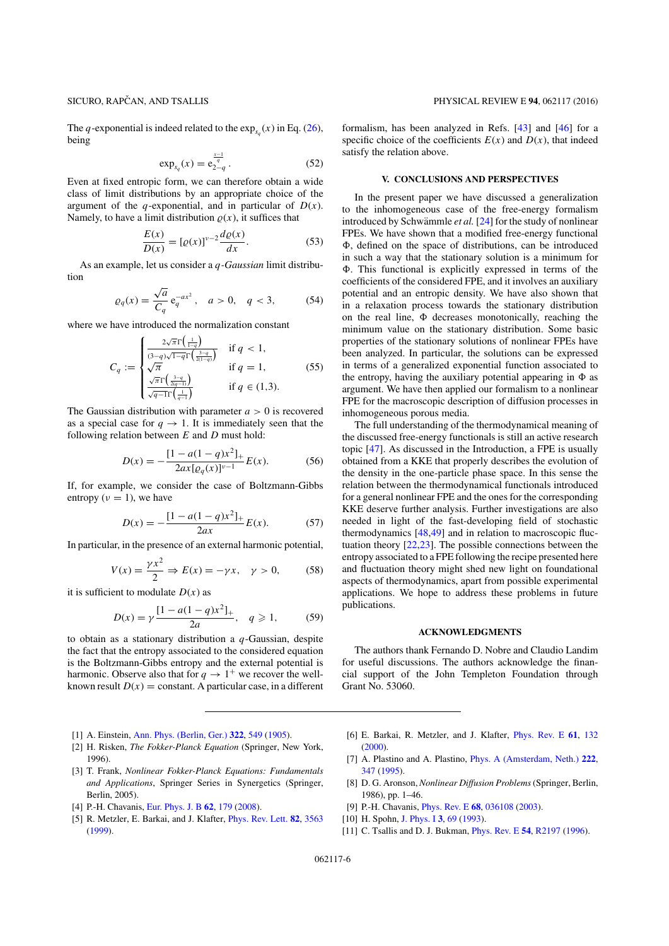The *q*-exponential is indeed related to the  $exp_{s_0}(x)$  in Eq. (26), being

$$
\exp_{s_q}(x) = e_{2-q}^{\frac{x-1}{q}}.
$$
 (52)

Even at fixed entropic form, we can therefore obtain a wide class of limit distributions by an appropriate choice of the argument of the *q*-exponential, and in particular of  $D(x)$ . Namely, to have a limit distribution  $\rho(x)$ , it suffices that

$$
\frac{E(x)}{D(x)} = [\varrho(x)]^{\nu-2} \frac{d\varrho(x)}{dx}.
$$
 (53)

As an example, let us consider a *q-Gaussian* limit distribution

$$
\varrho_q(x) = \frac{\sqrt{a}}{C_q} e_q^{-ax^2}, \quad a > 0, \quad q < 3,\tag{54}
$$

where we have introduced the normalization constant

$$
C_q := \begin{cases} \frac{2\sqrt{\pi}\Gamma\left(\frac{1}{1-q}\right)}{(3-q)\sqrt{1-q}\Gamma\left(\frac{3-q}{2(1-q)}\right)} & \text{if } q < 1, \\ \sqrt{\pi} & \text{if } q = 1, \\ \frac{\sqrt{\pi}\Gamma\left(\frac{3-q}{2(q-1)}\right)}{\sqrt{q-\Gamma\left(\frac{1}{q-1}\right)}} & \text{if } q \in (1,3). \end{cases} \tag{55}
$$

The Gaussian distribution with parameter  $a > 0$  is recovered as a special case for  $q \rightarrow 1$ . It is immediately seen that the following relation between *E* and *D* must hold:

$$
D(x) = -\frac{[1 - a(1 - q)x^2]_+}{2ax[\varrho_q(x)]^{\nu - 1}}E(x).
$$
 (56)

If, for example, we consider the case of Boltzmann-Gibbs entropy ( $\nu = 1$ ), we have

$$
D(x) = -\frac{[1 - a(1 - q)x^2]_+}{2ax}E(x).
$$
 (57)

In particular, in the presence of an external harmonic potential,

$$
V(x) = \frac{\gamma x^2}{2} \Rightarrow E(x) = -\gamma x, \quad \gamma > 0,
$$
 (58)

it is sufficient to modulate  $D(x)$  as

$$
D(x) = \gamma \frac{[1 - a(1 - q)x^2]_+}{2a}, \quad q \geqslant 1,
$$
 (59)

to obtain as a stationary distribution a *q*-Gaussian, despite the fact that the entropy associated to the considered equation is the Boltzmann-Gibbs entropy and the external potential is harmonic. Observe also that for  $q \to 1^+$  we recover the wellknown result  $D(x) =$  constant. A particular case, in a different formalism, has been analyzed in Refs. [43] and [46] for a specific choice of the coefficients  $E(x)$  and  $D(x)$ , that indeed satisfy the relation above.

# **V. CONCLUSIONS AND PERSPECTIVES**

In the present paper we have discussed a generalization to the inhomogeneous case of the free-energy formalism introduced by Schwämmle et al. [24] for the study of nonlinear FPEs. We have shown that a modified free-energy functional  $\Phi$ , defined on the space of distributions, can be introduced in such a way that the stationary solution is a minimum for (. This functional is explicitly expressed in terms of the coefficients of the considered FPE, and it involves an auxiliary potential and an entropic density. We have also shown that in a relaxation process towards the stationary distribution on the real line,  $\Phi$  decreases monotonically, reaching the minimum value on the stationary distribution. Some basic properties of the stationary solutions of nonlinear FPEs have been analyzed. In particular, the solutions can be expressed in terms of a generalized exponential function associated to the entropy, having the auxiliary potential appearing in  $\Phi$  as argument. We have then applied our formalism to a nonlinear FPE for the macroscopic description of diffusion processes in inhomogeneous porous media.

The full understanding of the thermodynamical meaning of the discussed free-energy functionals is still an active research topic [47]. As discussed in the Introduction, a FPE is usually obtained from a KKE that properly describes the evolution of the density in the one-particle phase space. In this sense the relation between the thermodynamical functionals introduced for a general nonlinear FPE and the ones for the corresponding KKE deserve further analysis. Further investigations are also needed in light of the fast-developing field of stochastic thermodynamics [48,49] and in relation to macroscopic fluctuation theory [22,23]. The possible connections between the entropy associated to a FPE following the recipe presented here and fluctuation theory might shed new light on foundational aspects of thermodynamics, apart from possible experimental applications. We hope to address these problems in future publications.

# **ACKNOWLEDGMENTS**

The authors thank Fernando D. Nobre and Claudio Landim for useful discussions. The authors acknowledge the financial support of the John Templeton Foundation through Grant No. 53060.

- [1] A. Einstein, [Ann. Phys. \(Berlin, Ger.\)](https://doi.org/10.1002/andp.19053220806) **[322](https://doi.org/10.1002/andp.19053220806)**, [549](https://doi.org/10.1002/andp.19053220806) [\(1905\)](https://doi.org/10.1002/andp.19053220806).
- [2] H. Risken, *The Fokker-Planck Equation* (Springer, New York, 1996).
- [3] T. Frank, *Nonlinear Fokker-Planck Equations: Fundamentals and Applications*, Springer Series in Synergetics (Springer, Berlin, 2005).
- [4] P.-H. Chavanis, [Eur. Phys. J. B](https://doi.org/10.1140/epjb/e2008-00142-9) **[62](https://doi.org/10.1140/epjb/e2008-00142-9)**, [179](https://doi.org/10.1140/epjb/e2008-00142-9) [\(2008\)](https://doi.org/10.1140/epjb/e2008-00142-9).
- [5] R. Metzler, E. Barkai, and J. Klafter, [Phys. Rev. Lett.](https://doi.org/10.1103/PhysRevLett.82.3563) **[82](https://doi.org/10.1103/PhysRevLett.82.3563)**, [3563](https://doi.org/10.1103/PhysRevLett.82.3563) [\(1999\)](https://doi.org/10.1103/PhysRevLett.82.3563).
- [6] E. Barkai, R. Metzler, and J. Klafter, [Phys. Rev. E](https://doi.org/10.1103/PhysRevE.61.132) **[61](https://doi.org/10.1103/PhysRevE.61.132)**, [132](https://doi.org/10.1103/PhysRevE.61.132) [\(2000\)](https://doi.org/10.1103/PhysRevE.61.132).
- [7] A. Plastino and A. Plastino, [Phys. A \(Amsterdam, Neth.\)](https://doi.org/10.1016/0378-4371(95)00211-1) **[222](https://doi.org/10.1016/0378-4371(95)00211-1)**, [347](https://doi.org/10.1016/0378-4371(95)00211-1) [\(1995\)](https://doi.org/10.1016/0378-4371(95)00211-1).
- [8] D. G. Aronson, *Nonlinear Diffusion Problems*(Springer, Berlin, 1986), pp. 1–46.
- [9] P.-H. Chavanis, [Phys. Rev. E](https://doi.org/10.1103/PhysRevE.68.036108) **[68](https://doi.org/10.1103/PhysRevE.68.036108)**, [036108](https://doi.org/10.1103/PhysRevE.68.036108) [\(2003\)](https://doi.org/10.1103/PhysRevE.68.036108).
- [10] H. Spohn, [J. Phys. I](https://doi.org/10.1051/jp1:1993117) **[3](https://doi.org/10.1051/jp1:1993117)**, [69](https://doi.org/10.1051/jp1:1993117) [\(1993\)](https://doi.org/10.1051/jp1:1993117).
- [11] C. Tsallis and D. J. Bukman, [Phys. Rev. E](https://doi.org/10.1103/PhysRevE.54.R2197) **[54](https://doi.org/10.1103/PhysRevE.54.R2197)**, [R2197](https://doi.org/10.1103/PhysRevE.54.R2197) [\(1996\)](https://doi.org/10.1103/PhysRevE.54.R2197).